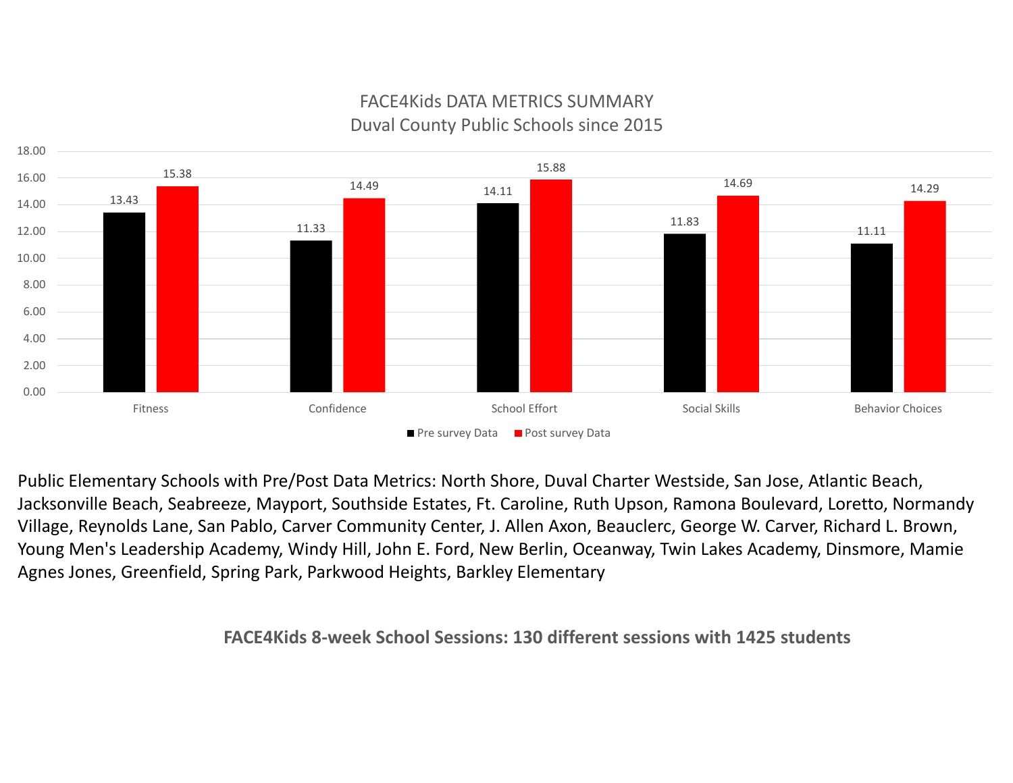

## FACE4Kids DATA METRICS SUMMARY Duval County Public Schools since 2015

Public Elementary Schools with Pre/Post Data Metrics: North Shore, Duval Charter Westside, San Jose, Atlantic Beach, Jacksonville Beach, Seabreeze, Mayport, Southside Estates, Ft. Caroline, Ruth Upson, Ramona Boulevard, Loretto, Normandy Village, Reynolds Lane, San Pablo, Carver Community Center, J. Allen Axon, Beauclerc, George W. Carver, Richard L. Brown, Young Men's Leadership Academy, Windy Hill, John E. Ford, New Berlin, Oceanway, Twin Lakes Academy, Dinsmore, Mamie Agnes Jones, Greenfield, Spring Park, Parkwood Heights, Barkley Elementary

**FACE4Kids 8‐week School Sessions: 130 different sessions with 1425 students**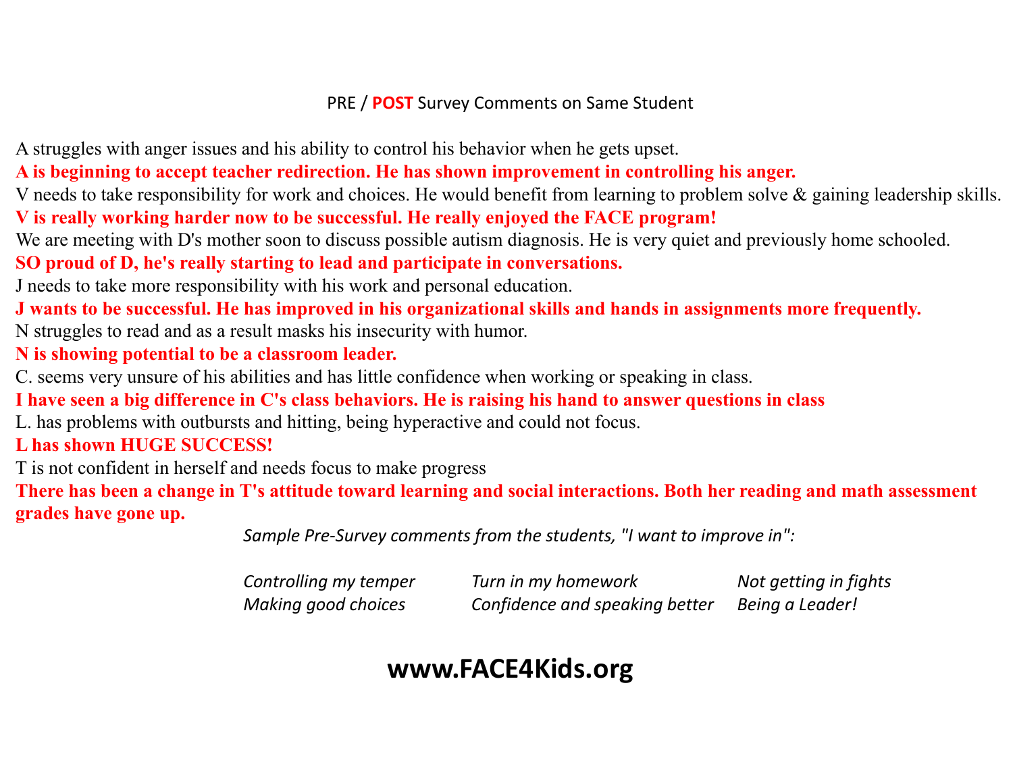## PRE / **POST** Survey Comments on Same Student

A struggles with anger issues and his ability to control his behavior when he gets upset.

**A is beginning to accept teacher redirection. He has shown improvement in controlling his anger.**

V needs to take responsibility for work and choices. He would benefit from learning to problem solve & gaining leadership skills. **V is really working harder now to be successful. He really enjoyed the FACE program!**

We are meeting with D's mother soon to discuss possible autism diagnosis. He is very quiet and previously home schooled.

**SO proud of D, he's really starting to lead and participate in conversations.**

J needs to take more responsibility with his work and personal education.

**J wants to be successful. He has improved in his organizational skills and hands in assignments more frequently.** N struggles to read and as a result masks his insecurity with humor.

**N is showing potential to be a classroom leader.**

C. seems very unsure of his abilities and has little confidence when working or speaking in class.

**I have seen a big difference in C's class behaviors. He is raising his hand to answer questions in class**

L. has problems with outbursts and hitting, being hyperactive and could not focus.

**L has shown HUGE SUCCESS!**

T is not confident in herself and needs focus to make progress

**There has been a change in T's attitude toward learning and social interactions. Both her reading and math assessment grades have gone up.**

*Sample Pre‐Survey comments from the students, "I want to improve in":*

| Controlling my temper | Turn in my homework            | Not getting in fights |
|-----------------------|--------------------------------|-----------------------|
| Making good choices   | Confidence and speaking better | Being a Leader!       |

## **www.FACE4Kids.org**